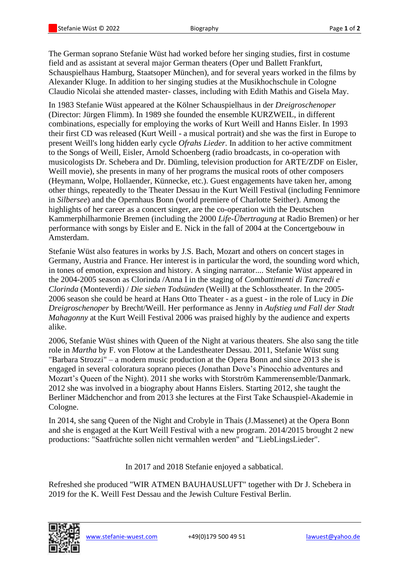The German soprano Stefanie Wüst had worked before her singing studies, first in costume field and as assistant at several major German theaters (Oper und Ballett Frankfurt, Schauspielhaus Hamburg, Staatsoper München), and for several years worked in the films by Alexander Kluge. In addition to her singing studies at the Musikhochschule in Cologne Claudio Nicolai she attended master- classes, including with Edith Mathis and Gisela May.

In 1983 Stefanie Wüst appeared at the Kölner Schauspielhaus in der *Dreigroschenoper*  (Director: Jürgen Flimm). In 1989 she founded the ensemble KURZWEIL, in different combinations, especially for employing the works of Kurt Weill and Hanns Eisler. In 1993 their first CD was released (Kurt Weill - a musical portrait) and she was the first in Europe to present Weill's long hidden early cycle *Ofrahs Lieder*. In addition to her active commitment to the Songs of Weill, Eisler, Arnold Schoenberg (radio broadcasts, in co-operation with musicologists Dr. Schebera and Dr. Dümling, television production for ARTE/ZDF on Eisler, Weill movie), she presents in many of her programs the musical roots of other composers (Heymann, Wolpe, Hollaender, Künnecke, etc.). Guest engagements have taken her, among other things, repeatedly to the Theater Dessau in the Kurt Weill Festival (including Fennimore in *Silbersee*) and the Opernhaus Bonn (world premiere of Charlotte Seither). Among the highlights of her career as a concert singer, are the co-operation with the Deutschen Kammerphilharmonie Bremen (including the 2000 *Life-Übertragung* at Radio Bremen) or her performance with songs by Eisler and E. Nick in the fall of 2004 at the Concertgebouw in Amsterdam.

Stefanie Wüst also features in works by J.S. Bach, Mozart and others on concert stages in Germany, Austria and France. Her interest is in particular the word, the sounding word which, in tones of emotion, expression and history. A singing narrator.... Stefanie Wüst appeared in the 2004-2005 season as Clorinda /Anna I in the staging of *Combattimenti di Tancredi e Clorinda* (Monteverdi) / *Die sieben Todsünden* (Weill) at the Schlosstheater. In the 2005- 2006 season she could be heard at Hans Otto Theater - as a guest - in the role of Lucy in *Die Dreigroschenoper* by Brecht/Weill. Her performance as Jenny in *Aufstieg und Fall der Stadt Mahagonny* at the Kurt Weill Festival 2006 was praised highly by the audience and experts alike.

2006, Stefanie Wüst shines with Queen of the Night at various theaters. She also sang the title role in *Martha* by F. von Flotow at the Landestheater Dessau. 2011, Stefanie Wüst sung "Barbara Strozzi" – a modern music production at the Opera Bonn and since 2013 she is engaged in several coloratura soprano pieces (Jonathan Dove's Pinocchio adventures and Mozart's Queen of the Night). 2011 she works with Storström Kammerensemble/Danmark. 2012 she was involved in a biography about Hanns Eislers. Starting 2012, she taught the Berliner Mädchenchor and from 2013 she lectures at the First Take Schauspiel-Akademie in Cologne.

In 2014, she sang Queen of the Night and Crobyle in Thais (J.Massenet) at the Opera Bonn and she is engaged at the Kurt Weill Festival with a new program. 2014/2015 brought 2 new productions: "Saatfrüchte sollen nicht vermahlen werden" and "LiebLingsLieder".

In 2017 and 2018 Stefanie enjoyed a sabbatical.

Refreshed she produced "WIR ATMEN BAUHAUSLUFT" together with Dr J. Schebera in 2019 for the K. Weill Fest Dessau and the Jewish Culture Festival Berlin.